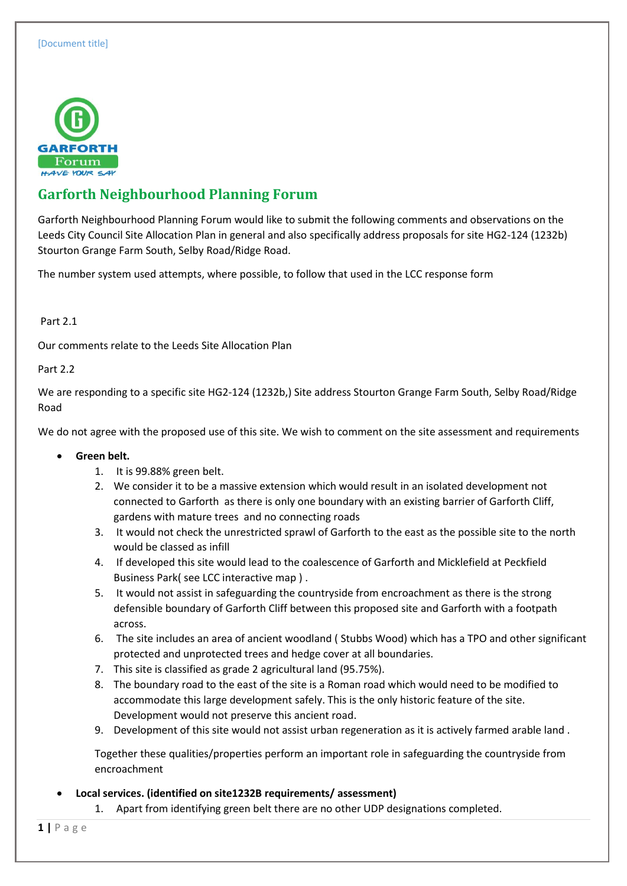

# **Garforth Neighbourhood Planning Forum**

Garforth Neighbourhood Planning Forum would like to submit the following comments and observations on the Leeds City Council Site Allocation Plan in general and also specifically address proposals for site HG2-124 (1232b) Stourton Grange Farm South, Selby Road/Ridge Road.

The number system used attempts, where possible, to follow that used in the LCC response form

### Part 2.1

Our comments relate to the Leeds Site Allocation Plan

### Part 2.2

We are responding to a specific site HG2-124 (1232b,) Site address Stourton Grange Farm South, Selby Road/Ridge Road

We do not agree with the proposed use of this site. We wish to comment on the site assessment and requirements

- **Green belt.**
	- 1. It is 99.88% green belt.
	- 2. We consider it to be a massive extension which would result in an isolated development not connected to Garforth as there is only one boundary with an existing barrier of Garforth Cliff, gardens with mature trees and no connecting roads
	- 3. It would not check the unrestricted sprawl of Garforth to the east as the possible site to the north would be classed as infill
	- 4. If developed this site would lead to the coalescence of Garforth and Micklefield at Peckfield Business Park( see LCC interactive map ) .
	- 5. It would not assist in safeguarding the countryside from encroachment as there is the strong defensible boundary of Garforth Cliff between this proposed site and Garforth with a footpath across.
	- 6. The site includes an area of ancient woodland ( Stubbs Wood) which has a TPO and other significant protected and unprotected trees and hedge cover at all boundaries.
	- 7. This site is classified as grade 2 agricultural land (95.75%).
	- 8. The boundary road to the east of the site is a Roman road which would need to be modified to accommodate this large development safely. This is the only historic feature of the site. Development would not preserve this ancient road.
	- 9. Development of this site would not assist urban regeneration as it is actively farmed arable land .

Together these qualities/properties perform an important role in safeguarding the countryside from encroachment

**Local services. (identified on site1232B requirements/ assessment)**

1. Apart from identifying green belt there are no other UDP designations completed.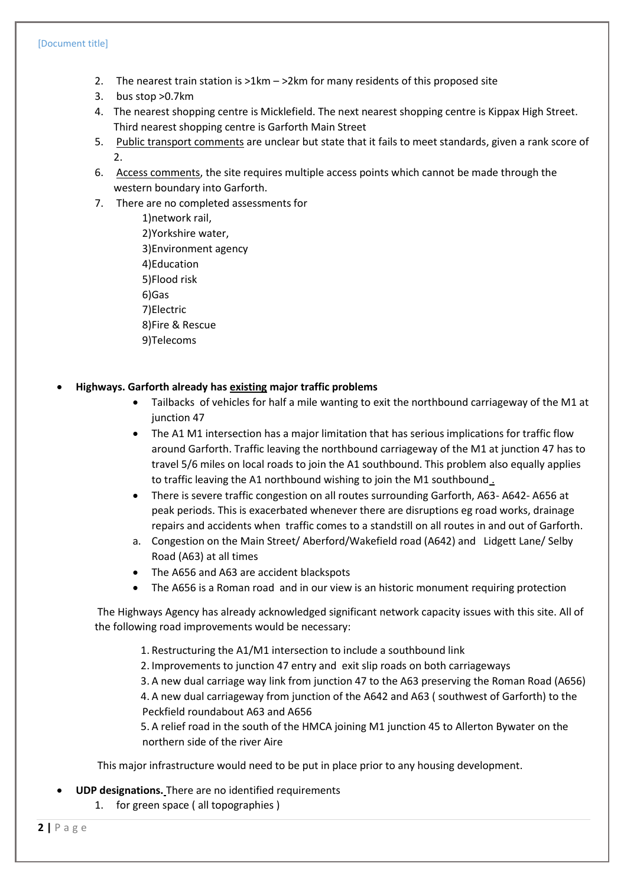- 2. The nearest train station is >1km >2km for many residents of this proposed site
- 3. bus stop >0.7km
- 4. The nearest shopping centre is Micklefield. The next nearest shopping centre is Kippax High Street. Third nearest shopping centre is Garforth Main Street
- 5. Public transport comments are unclear but state that it fails to meet standards, given a rank score of  $2^{\circ}$
- 6. Access comments, the site requires multiple access points which cannot be made through the western boundary into Garforth.
- 7. There are no completed assessments for
	- 1)network rail, 2)Yorkshire water, 3)Environment agency 4)Education 5)Flood risk 6)Gas 7)Electric 8)Fire & Rescue 9)Telecoms

#### **Highways. Garforth already has existing major traffic problems**

- Tailbacks of vehicles for half a mile wanting to exit the northbound carriageway of the M1 at junction 47
- The A1 M1 intersection has a major limitation that has serious implications for traffic flow around Garforth. Traffic leaving the northbound carriageway of the M1 at junction 47 has to travel 5/6 miles on local roads to join the A1 southbound. This problem also equally applies to traffic leaving the A1 northbound wishing to join the M1 southbound .
- There is severe traffic congestion on all routes surrounding Garforth, A63- A642- A656 at peak periods. This is exacerbated whenever there are disruptions eg road works, drainage repairs and accidents when traffic comes to a standstill on all routes in and out of Garforth.
- a. Congestion on the Main Street/ Aberford/Wakefield road (A642) and Lidgett Lane/ Selby Road (A63) at all times
- The A656 and A63 are accident blackspots
- The A656 is a Roman road and in our view is an historic monument requiring protection

The Highways Agency has already acknowledged significant network capacity issues with this site. All of the following road improvements would be necessary:

- 1. Restructuring the A1/M1 intersection to include a southbound link
- 2. Improvements to junction 47 entry and exit slip roads on both carriageways
- 3. A new dual carriage way link from junction 47 to the A63 preserving the Roman Road (A656)

4. A new dual carriageway from junction of the A642 and A63 ( southwest of Garforth) to the Peckfield roundabout A63 and A656

5. A relief road in the south of the HMCA joining M1 junction 45 to Allerton Bywater on the northern side of the river Aire

This major infrastructure would need to be put in place prior to any housing development.

**UDP designations.** There are no identified requirements

1. for green space ( all topographies )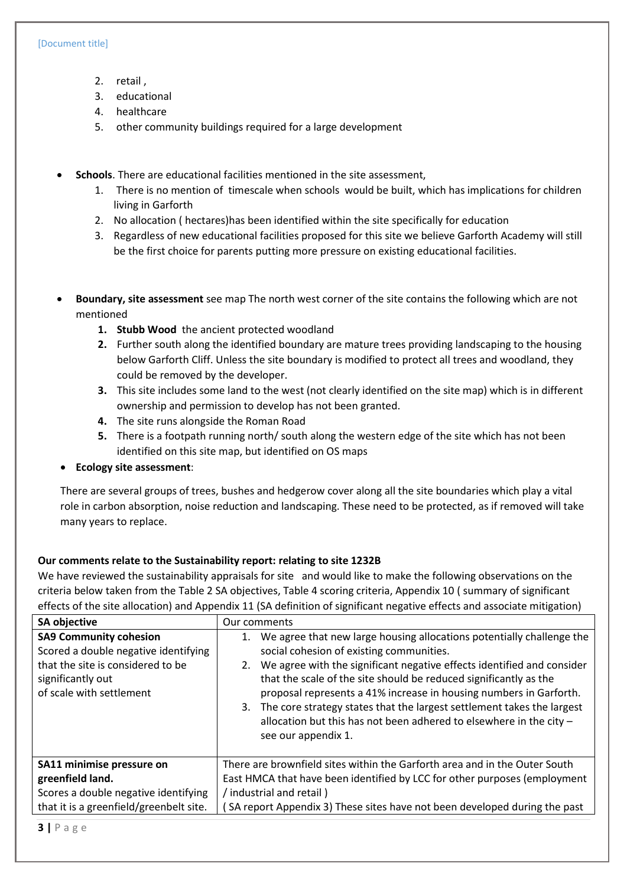- 2. retail ,
- 3. educational
- 4. healthcare
- 5. other community buildings required for a large development
- **Schools**. There are educational facilities mentioned in the site assessment,
	- 1. There is no mention of timescale when schools would be built, which has implications for children living in Garforth
	- 2. No allocation ( hectares)has been identified within the site specifically for education
	- 3. Regardless of new educational facilities proposed for this site we believe Garforth Academy will still be the first choice for parents putting more pressure on existing educational facilities.
- **Boundary, site assessment** see map The north west corner of the site contains the following which are not mentioned
	- **1. Stubb Wood** the ancient protected woodland
	- **2.** Further south along the identified boundary are mature trees providing landscaping to the housing below Garforth Cliff. Unless the site boundary is modified to protect all trees and woodland, they could be removed by the developer.
	- **3.** This site includes some land to the west (not clearly identified on the site map) which is in different ownership and permission to develop has not been granted.
	- **4.** The site runs alongside the Roman Road
	- **5.** There is a footpath running north/ south along the western edge of the site which has not been identified on this site map, but identified on OS maps
- **Ecology site assessment**:

There are several groups of trees, bushes and hedgerow cover along all the site boundaries which play a vital role in carbon absorption, noise reduction and landscaping. These need to be protected, as if removed will take many years to replace.

## **Our comments relate to the Sustainability report: relating to site 1232B**

We have reviewed the sustainability appraisals for site and would like to make the following observations on the criteria below taken from the Table 2 SA objectives, Table 4 scoring criteria, Appendix 10 ( summary of significant effects of the site allocation) and Appendix 11 (SA definition of significant negative effects and associate mitigation)

| <b>SA objective</b>                                                                                                                                         | Our comments                                                                                                                                                                                                                                                                                                                                                                                                                                                                                                         |
|-------------------------------------------------------------------------------------------------------------------------------------------------------------|----------------------------------------------------------------------------------------------------------------------------------------------------------------------------------------------------------------------------------------------------------------------------------------------------------------------------------------------------------------------------------------------------------------------------------------------------------------------------------------------------------------------|
| <b>SA9 Community cohesion</b><br>Scored a double negative identifying<br>that the site is considered to be<br>significantly out<br>of scale with settlement | We agree that new large housing allocations potentially challenge the<br>social cohesion of existing communities.<br>2. We agree with the significant negative effects identified and consider<br>that the scale of the site should be reduced significantly as the<br>proposal represents a 41% increase in housing numbers in Garforth.<br>3. The core strategy states that the largest settlement takes the largest<br>allocation but this has not been adhered to elsewhere in the city -<br>see our appendix 1. |
| SA11 minimise pressure on                                                                                                                                   | There are brownfield sites within the Garforth area and in the Outer South                                                                                                                                                                                                                                                                                                                                                                                                                                           |
| greenfield land.                                                                                                                                            | East HMCA that have been identified by LCC for other purposes (employment                                                                                                                                                                                                                                                                                                                                                                                                                                            |
| Scores a double negative identifying                                                                                                                        | / industrial and retail)                                                                                                                                                                                                                                                                                                                                                                                                                                                                                             |
| that it is a greenfield/greenbelt site.                                                                                                                     | SA report Appendix 3) These sites have not been developed during the past                                                                                                                                                                                                                                                                                                                                                                                                                                            |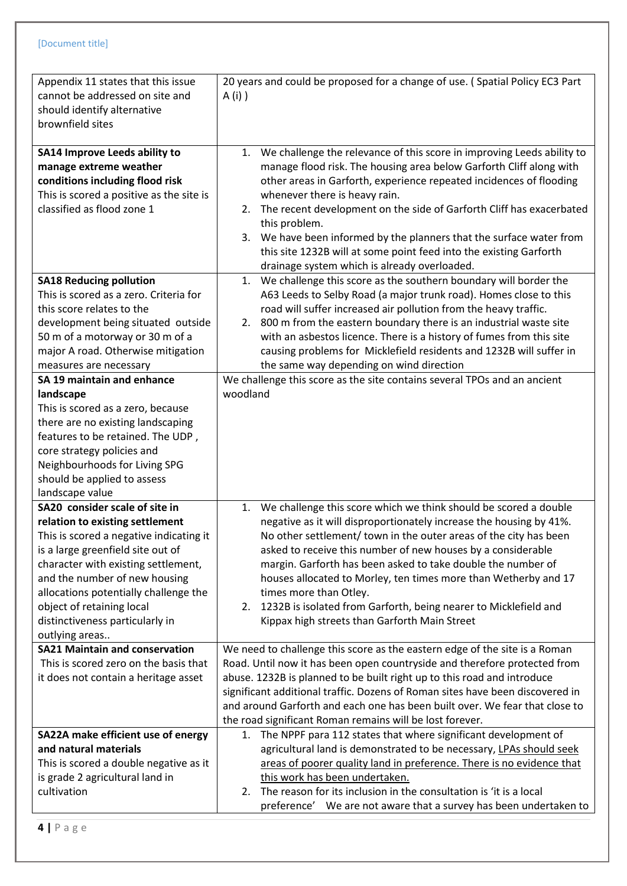| Appendix 11 states that this issue<br>cannot be addressed on site and<br>should identify alternative<br>brownfield sites                                                                                                                                                                                                                             | 20 years and could be proposed for a change of use. (Spatial Policy EC3 Part<br>A (i) )                                                                                                                                                                                                                                                                                                                                                                                                                                                                                 |
|------------------------------------------------------------------------------------------------------------------------------------------------------------------------------------------------------------------------------------------------------------------------------------------------------------------------------------------------------|-------------------------------------------------------------------------------------------------------------------------------------------------------------------------------------------------------------------------------------------------------------------------------------------------------------------------------------------------------------------------------------------------------------------------------------------------------------------------------------------------------------------------------------------------------------------------|
| <b>SA14 Improve Leeds ability to</b><br>manage extreme weather<br>conditions including flood risk<br>This is scored a positive as the site is<br>classified as flood zone 1                                                                                                                                                                          | 1. We challenge the relevance of this score in improving Leeds ability to<br>manage flood risk. The housing area below Garforth Cliff along with<br>other areas in Garforth, experience repeated incidences of flooding<br>whenever there is heavy rain.<br>2. The recent development on the side of Garforth Cliff has exacerbated<br>this problem.<br>3. We have been informed by the planners that the surface water from<br>this site 1232B will at some point feed into the existing Garforth<br>drainage system which is already overloaded.                      |
| <b>SA18 Reducing pollution</b><br>This is scored as a zero. Criteria for<br>this score relates to the<br>development being situated outside<br>50 m of a motorway or 30 m of a<br>major A road. Otherwise mitigation<br>measures are necessary<br>SA 19 maintain and enhance                                                                         | We challenge this score as the southern boundary will border the<br>1.<br>A63 Leeds to Selby Road (a major trunk road). Homes close to this<br>road will suffer increased air pollution from the heavy traffic.<br>2. 800 m from the eastern boundary there is an industrial waste site<br>with an asbestos licence. There is a history of fumes from this site<br>causing problems for Micklefield residents and 1232B will suffer in<br>the same way depending on wind direction<br>We challenge this score as the site contains several TPOs and an ancient          |
| landscape<br>This is scored as a zero, because<br>there are no existing landscaping<br>features to be retained. The UDP,<br>core strategy policies and<br>Neighbourhoods for Living SPG<br>should be applied to assess<br>landscape value                                                                                                            | woodland                                                                                                                                                                                                                                                                                                                                                                                                                                                                                                                                                                |
| SA20 consider scale of site in<br>relation to existing settlement<br>This is scored a negative indicating it<br>is a large greenfield site out of<br>character with existing settlement,<br>and the number of new housing<br>allocations potentially challenge the<br>object of retaining local<br>distinctiveness particularly in<br>outlying areas | We challenge this score which we think should be scored a double<br>1.<br>negative as it will disproportionately increase the housing by 41%.<br>No other settlement/ town in the outer areas of the city has been<br>asked to receive this number of new houses by a considerable<br>margin. Garforth has been asked to take double the number of<br>houses allocated to Morley, ten times more than Wetherby and 17<br>times more than Otley.<br>2. 1232B is isolated from Garforth, being nearer to Micklefield and<br>Kippax high streets than Garforth Main Street |
| <b>SA21 Maintain and conservation</b><br>This is scored zero on the basis that<br>it does not contain a heritage asset                                                                                                                                                                                                                               | We need to challenge this score as the eastern edge of the site is a Roman<br>Road. Until now it has been open countryside and therefore protected from<br>abuse. 1232B is planned to be built right up to this road and introduce<br>significant additional traffic. Dozens of Roman sites have been discovered in<br>and around Garforth and each one has been built over. We fear that close to<br>the road significant Roman remains will be lost forever.                                                                                                          |
| SA22A make efficient use of energy<br>and natural materials<br>This is scored a double negative as it<br>is grade 2 agricultural land in<br>cultivation                                                                                                                                                                                              | 1. The NPPF para 112 states that where significant development of<br>agricultural land is demonstrated to be necessary, LPAs should seek<br>areas of poorer quality land in preference. There is no evidence that<br>this work has been undertaken.<br>The reason for its inclusion in the consultation is 'it is a local<br>2.<br>preference' We are not aware that a survey has been undertaken to                                                                                                                                                                    |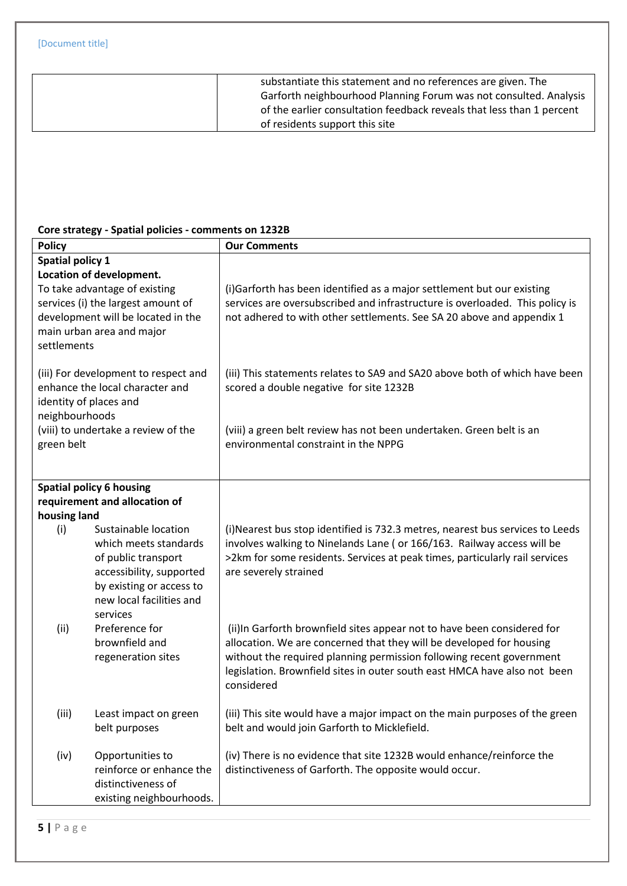| substantiate this statement and no references are given. The          |
|-----------------------------------------------------------------------|
| Garforth neighbourhood Planning Forum was not consulted. Analysis     |
| of the earlier consultation feedback reveals that less than 1 percent |
| of residents support this site                                        |
|                                                                       |

## **Core strategy - Spatial policies - comments on 1232B**

| <b>Policy</b>                                                                                                                                                                                                |                                                                                                                                                                      | <b>Our Comments</b>                                                                                                                                                                                                                                                                                                |  |
|--------------------------------------------------------------------------------------------------------------------------------------------------------------------------------------------------------------|----------------------------------------------------------------------------------------------------------------------------------------------------------------------|--------------------------------------------------------------------------------------------------------------------------------------------------------------------------------------------------------------------------------------------------------------------------------------------------------------------|--|
| <b>Spatial policy 1</b><br>Location of development.<br>To take advantage of existing<br>services (i) the largest amount of<br>development will be located in the<br>main urban area and major<br>settlements |                                                                                                                                                                      | (i)Garforth has been identified as a major settlement but our existing<br>services are oversubscribed and infrastructure is overloaded. This policy is<br>not adhered to with other settlements. See SA 20 above and appendix 1                                                                                    |  |
| (iii) For development to respect and<br>enhance the local character and<br>identity of places and                                                                                                            |                                                                                                                                                                      | (iii) This statements relates to SA9 and SA20 above both of which have been<br>scored a double negative for site 1232B                                                                                                                                                                                             |  |
| neighbourhoods<br>(viii) to undertake a review of the<br>green belt                                                                                                                                          |                                                                                                                                                                      | (viii) a green belt review has not been undertaken. Green belt is an<br>environmental constraint in the NPPG                                                                                                                                                                                                       |  |
|                                                                                                                                                                                                              | <b>Spatial policy 6 housing</b>                                                                                                                                      |                                                                                                                                                                                                                                                                                                                    |  |
|                                                                                                                                                                                                              | requirement and allocation of                                                                                                                                        |                                                                                                                                                                                                                                                                                                                    |  |
| housing land<br>(i)                                                                                                                                                                                          | Sustainable location<br>which meets standards<br>of public transport<br>accessibility, supported<br>by existing or access to<br>new local facilities and<br>services | (i) Nearest bus stop identified is 732.3 metres, nearest bus services to Leeds<br>involves walking to Ninelands Lane ( or 166/163. Railway access will be<br>>2km for some residents. Services at peak times, particularly rail services<br>are severely strained                                                  |  |
| (ii)                                                                                                                                                                                                         | Preference for<br>brownfield and<br>regeneration sites                                                                                                               | (ii)In Garforth brownfield sites appear not to have been considered for<br>allocation. We are concerned that they will be developed for housing<br>without the required planning permission following recent government<br>legislation. Brownfield sites in outer south east HMCA have also not been<br>considered |  |
| (iii)                                                                                                                                                                                                        | Least impact on green<br>belt purposes                                                                                                                               | (iii) This site would have a major impact on the main purposes of the green<br>belt and would join Garforth to Micklefield.                                                                                                                                                                                        |  |
| (iv)                                                                                                                                                                                                         | Opportunities to<br>reinforce or enhance the<br>distinctiveness of<br>existing neighbourhoods.                                                                       | (iv) There is no evidence that site 1232B would enhance/reinforce the<br>distinctiveness of Garforth. The opposite would occur.                                                                                                                                                                                    |  |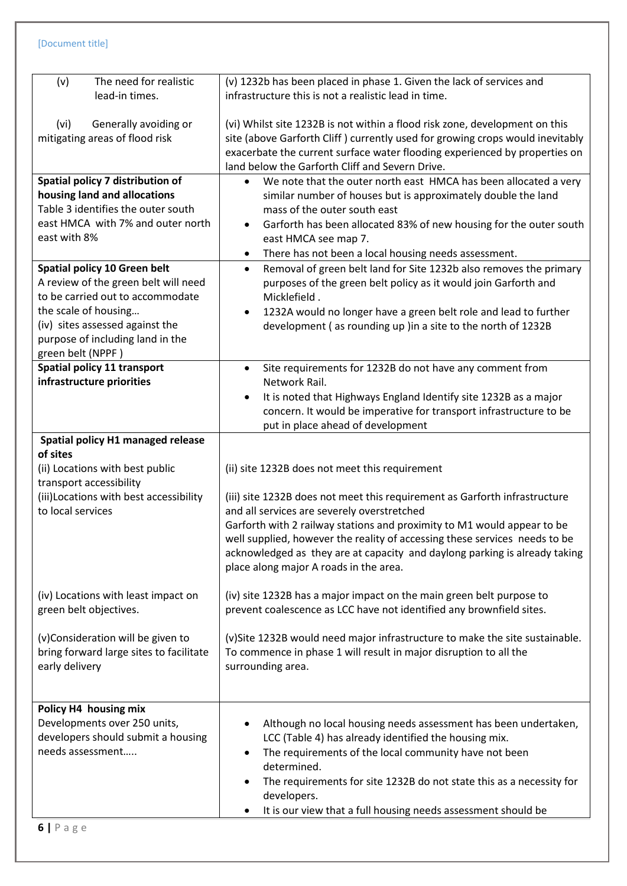| The need for realistic<br>(v)                                                                                                                                                                           | (v) 1232b has been placed in phase 1. Given the lack of services and<br>infrastructure this is not a realistic lead in time.                                                                                                                                                                           |
|---------------------------------------------------------------------------------------------------------------------------------------------------------------------------------------------------------|--------------------------------------------------------------------------------------------------------------------------------------------------------------------------------------------------------------------------------------------------------------------------------------------------------|
| lead-in times.                                                                                                                                                                                          |                                                                                                                                                                                                                                                                                                        |
| Generally avoiding or<br>(vi)<br>mitigating areas of flood risk                                                                                                                                         | (vi) Whilst site 1232B is not within a flood risk zone, development on this<br>site (above Garforth Cliff) currently used for growing crops would inevitably<br>exacerbate the current surface water flooding experienced by properties on<br>land below the Garforth Cliff and Severn Drive.          |
| Spatial policy 7 distribution of                                                                                                                                                                        | We note that the outer north east HMCA has been allocated a very<br>$\bullet$                                                                                                                                                                                                                          |
| housing land and allocations                                                                                                                                                                            | similar number of houses but is approximately double the land                                                                                                                                                                                                                                          |
| Table 3 identifies the outer south<br>east HMCA with 7% and outer north                                                                                                                                 | mass of the outer south east<br>Garforth has been allocated 83% of new housing for the outer south                                                                                                                                                                                                     |
| east with 8%                                                                                                                                                                                            | ٠<br>east HMCA see map 7.                                                                                                                                                                                                                                                                              |
|                                                                                                                                                                                                         | There has not been a local housing needs assessment.<br>$\bullet$                                                                                                                                                                                                                                      |
| Spatial policy 10 Green belt<br>A review of the green belt will need<br>to be carried out to accommodate<br>the scale of housing<br>(iv) sites assessed against the<br>purpose of including land in the | Removal of green belt land for Site 1232b also removes the primary<br>$\bullet$<br>purposes of the green belt policy as it would join Garforth and<br>Micklefield.<br>1232A would no longer have a green belt role and lead to further<br>development (as rounding up) in a site to the north of 1232B |
| green belt (NPPF)<br>Spatial policy 11 transport                                                                                                                                                        | $\bullet$                                                                                                                                                                                                                                                                                              |
| infrastructure priorities                                                                                                                                                                               | Site requirements for 1232B do not have any comment from<br>Network Rail.                                                                                                                                                                                                                              |
|                                                                                                                                                                                                         | It is noted that Highways England Identify site 1232B as a major<br>$\bullet$<br>concern. It would be imperative for transport infrastructure to be<br>put in place ahead of development                                                                                                               |
| Spatial policy H1 managed release                                                                                                                                                                       |                                                                                                                                                                                                                                                                                                        |
| of sites                                                                                                                                                                                                |                                                                                                                                                                                                                                                                                                        |
| (ii) Locations with best public                                                                                                                                                                         | (ii) site 1232B does not meet this requirement                                                                                                                                                                                                                                                         |
| transport accessibility<br>(iii) Locations with best accessibility                                                                                                                                      | (iii) site 1232B does not meet this requirement as Garforth infrastructure                                                                                                                                                                                                                             |
| to local services                                                                                                                                                                                       | and all services are severely overstretched                                                                                                                                                                                                                                                            |
|                                                                                                                                                                                                         | Garforth with 2 railway stations and proximity to M1 would appear to be<br>well supplied, however the reality of accessing these services needs to be<br>acknowledged as they are at capacity and daylong parking is already taking<br>place along major A roads in the area.                          |
| (iv) Locations with least impact on<br>green belt objectives.                                                                                                                                           | (iv) site 1232B has a major impact on the main green belt purpose to<br>prevent coalescence as LCC have not identified any brownfield sites.                                                                                                                                                           |
| (v)Consideration will be given to                                                                                                                                                                       | (v)Site 1232B would need major infrastructure to make the site sustainable.                                                                                                                                                                                                                            |
| bring forward large sites to facilitate<br>early delivery                                                                                                                                               | To commence in phase 1 will result in major disruption to all the<br>surrounding area.                                                                                                                                                                                                                 |
|                                                                                                                                                                                                         |                                                                                                                                                                                                                                                                                                        |
| Policy H4 housing mix                                                                                                                                                                                   |                                                                                                                                                                                                                                                                                                        |
| Developments over 250 units,                                                                                                                                                                            | Although no local housing needs assessment has been undertaken,                                                                                                                                                                                                                                        |
| developers should submit a housing                                                                                                                                                                      | LCC (Table 4) has already identified the housing mix.                                                                                                                                                                                                                                                  |
| needs assessment                                                                                                                                                                                        | The requirements of the local community have not been<br>$\bullet$<br>determined.                                                                                                                                                                                                                      |
|                                                                                                                                                                                                         | The requirements for site 1232B do not state this as a necessity for<br>$\bullet$                                                                                                                                                                                                                      |
|                                                                                                                                                                                                         | developers.<br>It is our view that a full housing needs assessment should be                                                                                                                                                                                                                           |
| $6$   Page                                                                                                                                                                                              |                                                                                                                                                                                                                                                                                                        |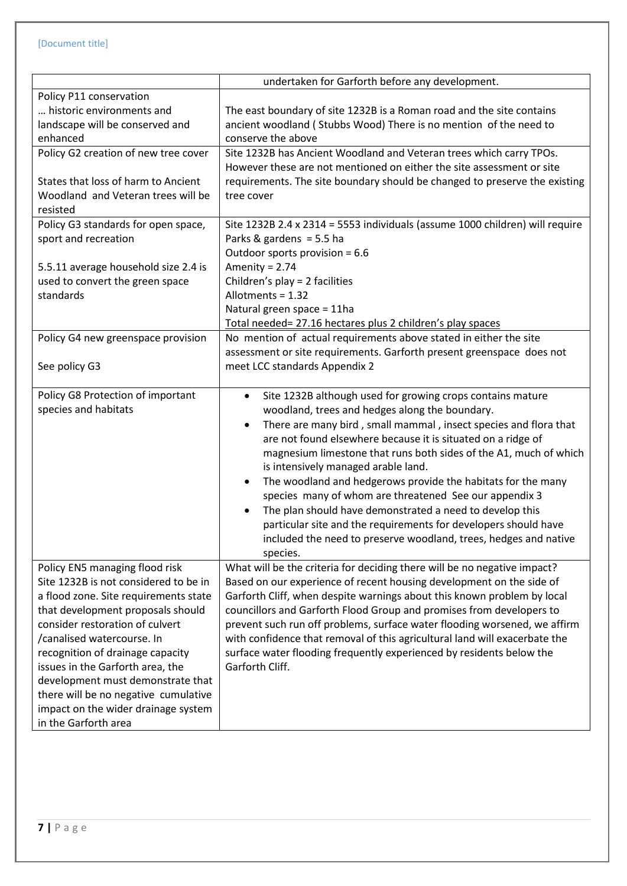|                                                                                                                                                                                                                                                                                                                                                                                                                                            | undertaken for Garforth before any development.                                                                                                                                                                                                                                                                                                                                                                                                                                                                                                                                                                                                                                                                              |
|--------------------------------------------------------------------------------------------------------------------------------------------------------------------------------------------------------------------------------------------------------------------------------------------------------------------------------------------------------------------------------------------------------------------------------------------|------------------------------------------------------------------------------------------------------------------------------------------------------------------------------------------------------------------------------------------------------------------------------------------------------------------------------------------------------------------------------------------------------------------------------------------------------------------------------------------------------------------------------------------------------------------------------------------------------------------------------------------------------------------------------------------------------------------------------|
| Policy P11 conservation                                                                                                                                                                                                                                                                                                                                                                                                                    |                                                                                                                                                                                                                                                                                                                                                                                                                                                                                                                                                                                                                                                                                                                              |
| historic environments and                                                                                                                                                                                                                                                                                                                                                                                                                  | The east boundary of site 1232B is a Roman road and the site contains                                                                                                                                                                                                                                                                                                                                                                                                                                                                                                                                                                                                                                                        |
| landscape will be conserved and                                                                                                                                                                                                                                                                                                                                                                                                            | ancient woodland (Stubbs Wood) There is no mention of the need to                                                                                                                                                                                                                                                                                                                                                                                                                                                                                                                                                                                                                                                            |
| enhanced                                                                                                                                                                                                                                                                                                                                                                                                                                   | conserve the above                                                                                                                                                                                                                                                                                                                                                                                                                                                                                                                                                                                                                                                                                                           |
| Policy G2 creation of new tree cover<br>States that loss of harm to Ancient                                                                                                                                                                                                                                                                                                                                                                | Site 1232B has Ancient Woodland and Veteran trees which carry TPOs.<br>However these are not mentioned on either the site assessment or site<br>requirements. The site boundary should be changed to preserve the existing                                                                                                                                                                                                                                                                                                                                                                                                                                                                                                   |
| Woodland and Veteran trees will be<br>resisted                                                                                                                                                                                                                                                                                                                                                                                             | tree cover                                                                                                                                                                                                                                                                                                                                                                                                                                                                                                                                                                                                                                                                                                                   |
| Policy G3 standards for open space,<br>sport and recreation                                                                                                                                                                                                                                                                                                                                                                                | Site 1232B 2.4 x 2314 = 5553 individuals (assume 1000 children) will require<br>Parks & gardens = 5.5 ha<br>Outdoor sports provision = 6.6                                                                                                                                                                                                                                                                                                                                                                                                                                                                                                                                                                                   |
| 5.5.11 average household size 2.4 is                                                                                                                                                                                                                                                                                                                                                                                                       | Amenity = $2.74$                                                                                                                                                                                                                                                                                                                                                                                                                                                                                                                                                                                                                                                                                                             |
| used to convert the green space                                                                                                                                                                                                                                                                                                                                                                                                            | Children's play = 2 facilities                                                                                                                                                                                                                                                                                                                                                                                                                                                                                                                                                                                                                                                                                               |
| standards                                                                                                                                                                                                                                                                                                                                                                                                                                  | Allotments = 1.32                                                                                                                                                                                                                                                                                                                                                                                                                                                                                                                                                                                                                                                                                                            |
|                                                                                                                                                                                                                                                                                                                                                                                                                                            | Natural green space = 11ha                                                                                                                                                                                                                                                                                                                                                                                                                                                                                                                                                                                                                                                                                                   |
|                                                                                                                                                                                                                                                                                                                                                                                                                                            | Total needed= 27.16 hectares plus 2 children's play spaces                                                                                                                                                                                                                                                                                                                                                                                                                                                                                                                                                                                                                                                                   |
| Policy G4 new greenspace provision                                                                                                                                                                                                                                                                                                                                                                                                         | No mention of actual requirements above stated in either the site<br>assessment or site requirements. Garforth present greenspace does not                                                                                                                                                                                                                                                                                                                                                                                                                                                                                                                                                                                   |
| See policy G3                                                                                                                                                                                                                                                                                                                                                                                                                              | meet LCC standards Appendix 2                                                                                                                                                                                                                                                                                                                                                                                                                                                                                                                                                                                                                                                                                                |
| Policy G8 Protection of important<br>species and habitats                                                                                                                                                                                                                                                                                                                                                                                  | Site 1232B although used for growing crops contains mature<br>$\bullet$<br>woodland, trees and hedges along the boundary.<br>There are many bird, small mammal, insect species and flora that<br>٠<br>are not found elsewhere because it is situated on a ridge of<br>magnesium limestone that runs both sides of the A1, much of which<br>is intensively managed arable land.<br>The woodland and hedgerows provide the habitats for the many<br>٠<br>species many of whom are threatened See our appendix 3<br>The plan should have demonstrated a need to develop this<br>particular site and the requirements for developers should have<br>included the need to preserve woodland, trees, hedges and native<br>species. |
| Policy EN5 managing flood risk<br>Site 1232B is not considered to be in<br>a flood zone. Site requirements state<br>that development proposals should<br>consider restoration of culvert<br>/canalised watercourse. In<br>recognition of drainage capacity<br>issues in the Garforth area, the<br>development must demonstrate that<br>there will be no negative cumulative<br>impact on the wider drainage system<br>in the Garforth area | What will be the criteria for deciding there will be no negative impact?<br>Based on our experience of recent housing development on the side of<br>Garforth Cliff, when despite warnings about this known problem by local<br>councillors and Garforth Flood Group and promises from developers to<br>prevent such run off problems, surface water flooding worsened, we affirm<br>with confidence that removal of this agricultural land will exacerbate the<br>surface water flooding frequently experienced by residents below the<br>Garforth Cliff.                                                                                                                                                                    |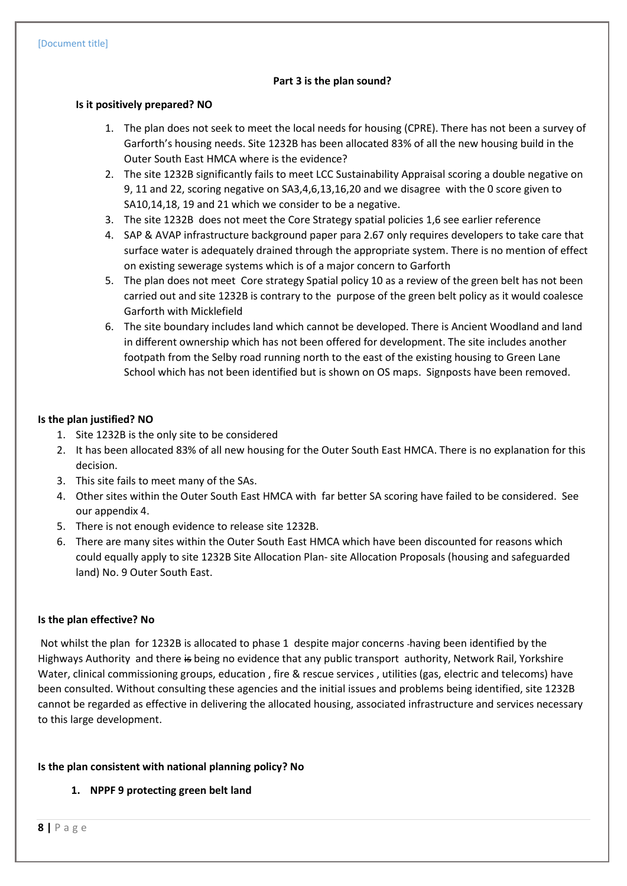#### **Part 3 is the plan sound?**

#### **Is it positively prepared? NO**

- 1. The plan does not seek to meet the local needs for housing (CPRE). There has not been a survey of Garforth's housing needs. Site 1232B has been allocated 83% of all the new housing build in the Outer South East HMCA where is the evidence?
- 2. The site 1232B significantly fails to meet LCC Sustainability Appraisal scoring a double negative on 9, 11 and 22, scoring negative on SA3,4,6,13,16,20 and we disagree with the 0 score given to SA10,14,18, 19 and 21 which we consider to be a negative.
- 3. The site 1232B does not meet the Core Strategy spatial policies 1,6 see earlier reference
- 4. SAP & AVAP infrastructure background paper para 2.67 only requires developers to take care that surface water is adequately drained through the appropriate system. There is no mention of effect on existing sewerage systems which is of a major concern to Garforth
- 5. The plan does not meet Core strategy Spatial policy 10 as a review of the green belt has not been carried out and site 1232B is contrary to the purpose of the green belt policy as it would coalesce Garforth with Micklefield
- 6. The site boundary includes land which cannot be developed. There is Ancient Woodland and land in different ownership which has not been offered for development. The site includes another footpath from the Selby road running north to the east of the existing housing to Green Lane School which has not been identified but is shown on OS maps. Signposts have been removed.

#### **Is the plan justified? NO**

- 1. Site 1232B is the only site to be considered
- 2. It has been allocated 83% of all new housing for the Outer South East HMCA. There is no explanation for this decision.
- 3. This site fails to meet many of the SAs.
- 4. Other sites within the Outer South East HMCA with far better SA scoring have failed to be considered. See our appendix 4.
- 5. There is not enough evidence to release site 1232B.
- 6. There are many sites within the Outer South East HMCA which have been discounted for reasons which could equally apply to site 1232B Site Allocation Plan- site Allocation Proposals (housing and safeguarded land) No. 9 Outer South East.

#### **Is the plan effective? No**

Not whilst the plan for 1232B is allocated to phase 1 despite major concerns having been identified by the Highways Authority and there is being no evidence that any public transport authority, Network Rail, Yorkshire Water, clinical commissioning groups, education , fire & rescue services , utilities (gas, electric and telecoms) have been consulted. Without consulting these agencies and the initial issues and problems being identified, site 1232B cannot be regarded as effective in delivering the allocated housing, associated infrastructure and services necessary to this large development.

#### **Is the plan consistent with national planning policy? No**

**1. NPPF 9 protecting green belt land**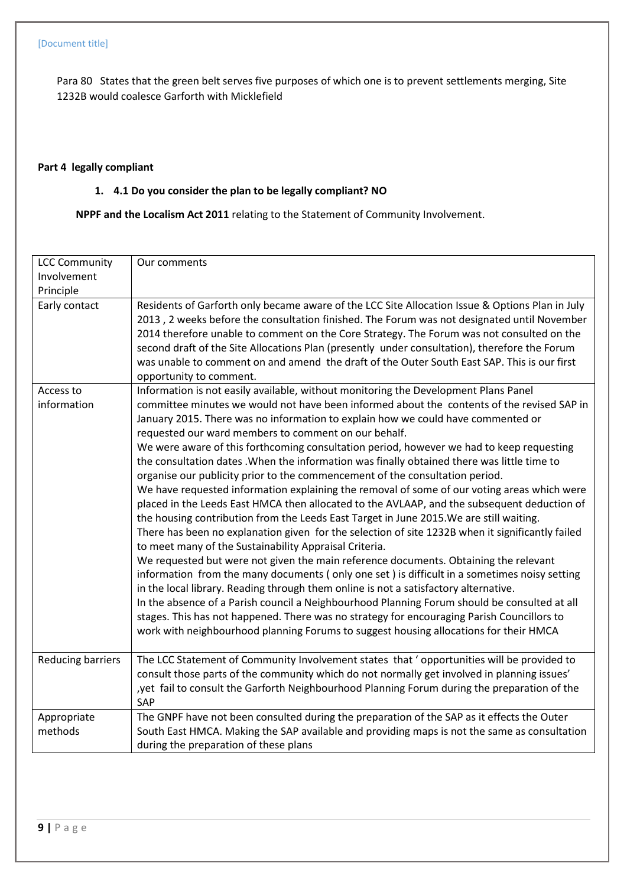Para 80 States that the green belt serves five purposes of which one is to prevent settlements merging, Site 1232B would coalesce Garforth with Micklefield

## **Part 4 legally compliant**

## **1. 4.1 Do you consider the plan to be legally compliant? NO**

**NPPF and the Localism Act 2011** relating to the Statement of Community Involvement.

| <b>LCC Community</b><br>Involvement | Our comments                                                                                                                                                                                                                                                                                                                                                                                                                                                                                                           |
|-------------------------------------|------------------------------------------------------------------------------------------------------------------------------------------------------------------------------------------------------------------------------------------------------------------------------------------------------------------------------------------------------------------------------------------------------------------------------------------------------------------------------------------------------------------------|
| Principle                           |                                                                                                                                                                                                                                                                                                                                                                                                                                                                                                                        |
| Early contact                       | Residents of Garforth only became aware of the LCC Site Allocation Issue & Options Plan in July<br>2013, 2 weeks before the consultation finished. The Forum was not designated until November<br>2014 therefore unable to comment on the Core Strategy. The Forum was not consulted on the<br>second draft of the Site Allocations Plan (presently under consultation), therefore the Forum<br>was unable to comment on and amend the draft of the Outer South East SAP. This is our first<br>opportunity to comment. |
| Access to                           | Information is not easily available, without monitoring the Development Plans Panel                                                                                                                                                                                                                                                                                                                                                                                                                                    |
| information                         | committee minutes we would not have been informed about the contents of the revised SAP in<br>January 2015. There was no information to explain how we could have commented or<br>requested our ward members to comment on our behalf.                                                                                                                                                                                                                                                                                 |
|                                     | We were aware of this forthcoming consultation period, however we had to keep requesting                                                                                                                                                                                                                                                                                                                                                                                                                               |
|                                     | the consultation dates . When the information was finally obtained there was little time to                                                                                                                                                                                                                                                                                                                                                                                                                            |
|                                     | organise our publicity prior to the commencement of the consultation period.                                                                                                                                                                                                                                                                                                                                                                                                                                           |
|                                     | We have requested information explaining the removal of some of our voting areas which were                                                                                                                                                                                                                                                                                                                                                                                                                            |
|                                     | placed in the Leeds East HMCA then allocated to the AVLAAP, and the subsequent deduction of                                                                                                                                                                                                                                                                                                                                                                                                                            |
|                                     | the housing contribution from the Leeds East Target in June 2015. We are still waiting.<br>There has been no explanation given for the selection of site 1232B when it significantly failed<br>to meet many of the Sustainability Appraisal Criteria.                                                                                                                                                                                                                                                                  |
|                                     | We requested but were not given the main reference documents. Obtaining the relevant                                                                                                                                                                                                                                                                                                                                                                                                                                   |
|                                     | information from the many documents (only one set) is difficult in a sometimes noisy setting                                                                                                                                                                                                                                                                                                                                                                                                                           |
|                                     | in the local library. Reading through them online is not a satisfactory alternative.                                                                                                                                                                                                                                                                                                                                                                                                                                   |
|                                     | In the absence of a Parish council a Neighbourhood Planning Forum should be consulted at all                                                                                                                                                                                                                                                                                                                                                                                                                           |
|                                     | stages. This has not happened. There was no strategy for encouraging Parish Councillors to<br>work with neighbourhood planning Forums to suggest housing allocations for their HMCA                                                                                                                                                                                                                                                                                                                                    |
| <b>Reducing barriers</b>            | The LCC Statement of Community Involvement states that 'opportunities will be provided to                                                                                                                                                                                                                                                                                                                                                                                                                              |
|                                     | consult those parts of the community which do not normally get involved in planning issues'                                                                                                                                                                                                                                                                                                                                                                                                                            |
|                                     | , yet fail to consult the Garforth Neighbourhood Planning Forum during the preparation of the<br>SAP                                                                                                                                                                                                                                                                                                                                                                                                                   |
| Appropriate                         | The GNPF have not been consulted during the preparation of the SAP as it effects the Outer                                                                                                                                                                                                                                                                                                                                                                                                                             |
| methods                             | South East HMCA. Making the SAP available and providing maps is not the same as consultation                                                                                                                                                                                                                                                                                                                                                                                                                           |
|                                     | during the preparation of these plans                                                                                                                                                                                                                                                                                                                                                                                                                                                                                  |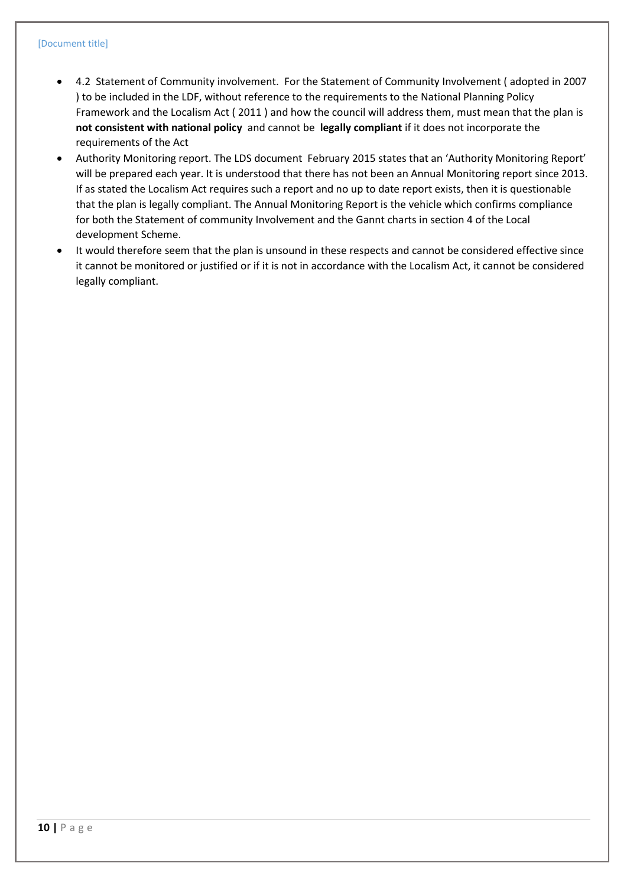- 4.2 Statement of Community involvement. For the Statement of Community Involvement ( adopted in 2007 ) to be included in the LDF, without reference to the requirements to the National Planning Policy Framework and the Localism Act ( 2011 ) and how the council will address them, must mean that the plan is **not consistent with national policy** and cannot be **legally compliant** if it does not incorporate the requirements of the Act
- Authority Monitoring report. The LDS document February 2015 states that an 'Authority Monitoring Report' will be prepared each year. It is understood that there has not been an Annual Monitoring report since 2013. If as stated the Localism Act requires such a report and no up to date report exists, then it is questionable that the plan is legally compliant. The Annual Monitoring Report is the vehicle which confirms compliance for both the Statement of community Involvement and the Gannt charts in section 4 of the Local development Scheme.
- It would therefore seem that the plan is unsound in these respects and cannot be considered effective since it cannot be monitored or justified or if it is not in accordance with the Localism Act, it cannot be considered legally compliant.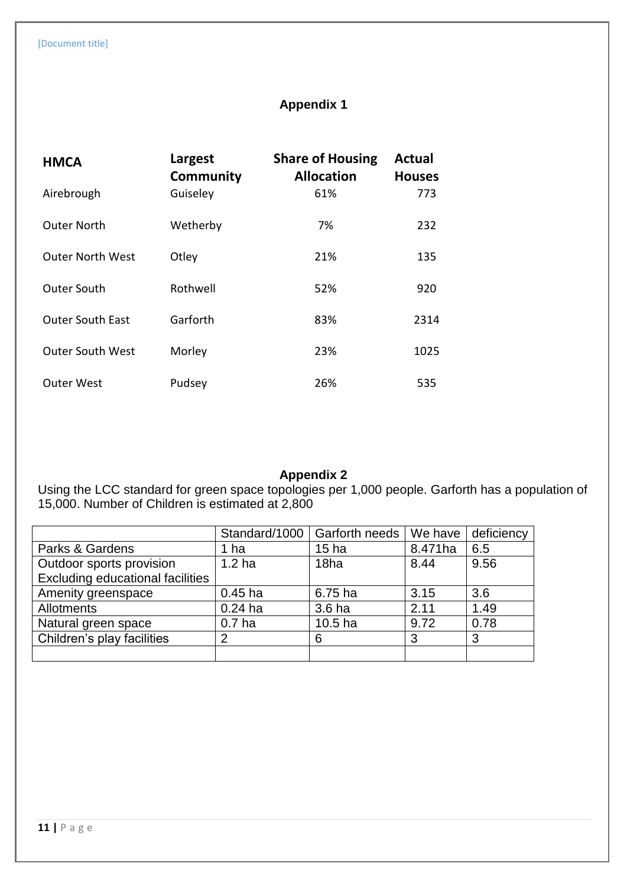# **Appendix 1**

| <b>HMCA</b>             | Largest<br>Community | <b>Share of Housing</b><br><b>Allocation</b> | <b>Actual</b><br><b>Houses</b> |
|-------------------------|----------------------|----------------------------------------------|--------------------------------|
| Airebrough              | Guiseley             | 61%                                          | 773                            |
| <b>Outer North</b>      | Wetherby             | 7%                                           | 232                            |
| <b>Outer North West</b> | Otley                | 21%                                          | 135                            |
| <b>Outer South</b>      | Rothwell             | 52%                                          | 920                            |
| <b>Outer South East</b> | Garforth             | 83%                                          | 2314                           |
| <b>Outer South West</b> | Morley               | 23%                                          | 1025                           |
| <b>Outer West</b>       | Pudsey               | 26%                                          | 535                            |

## **Appendix 2**

Using the LCC standard for green space topologies per 1,000 people. Garforth has a population of 15,000. Number of Children is estimated at 2,800

|                                         |                   | Standard/1000   Garforth needs | We have | deficiency |
|-----------------------------------------|-------------------|--------------------------------|---------|------------|
| Parks & Gardens                         | ha                | 15 <sub>ha</sub>               | 8.471ha | 6.5        |
| Outdoor sports provision                | 1.2 <sub>ha</sub> | 18 <sub>ha</sub>               | 8.44    | 9.56       |
| <b>Excluding educational facilities</b> |                   |                                |         |            |
| Amenity greenspace                      | $0.45$ ha         | 6.75 ha                        | 3.15    | 3.6        |
| <b>Allotments</b>                       | $0.24$ ha         | 3.6 ha                         | 2.11    | 1.49       |
| Natural green space                     | 0.7 <sub>ha</sub> | 10.5 <sub>ha</sub>             | 9.72    | 0.78       |
| Children's play facilities              | $\overline{2}$    | 6                              | 3       | 3          |
|                                         |                   |                                |         |            |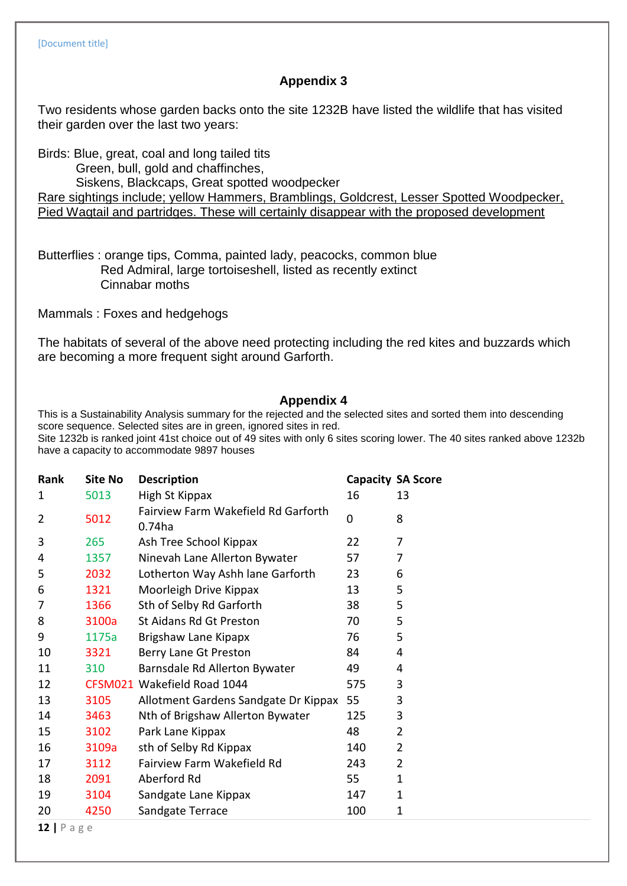## **Appendix 3**

Two residents whose garden backs onto the site 1232B have listed the wildlife that has visited their garden over the last two years:

Birds: Blue, great, coal and long tailed tits

Green, bull, gold and chaffinches,

Siskens, Blackcaps, Great spotted woodpecker

Rare sightings include; yellow Hammers, Bramblings, Goldcrest, Lesser Spotted Woodpecker, Pied Wagtail and partridges. These will certainly disappear with the proposed development

Butterflies : orange tips, Comma, painted lady, peacocks, common blue Red Admiral, large tortoiseshell, listed as recently extinct Cinnabar moths

Mammals : Foxes and hedgehogs

The habitats of several of the above need protecting including the red kites and buzzards which are becoming a more frequent sight around Garforth.

## **Appendix 4**

This is a Sustainability Analysis summary for the rejected and the selected sites and sorted them into descending score sequence. Selected sites are in green, ignored sites in red.

Site 1232b is ranked joint 41st choice out of 49 sites with only 6 sites scoring lower. The 40 sites ranked above 1232b have a capacity to accommodate 9897 houses

| Rank           | <b>Site No</b> | <b>Description</b>                               |     | <b>Capacity SA Score</b> |
|----------------|----------------|--------------------------------------------------|-----|--------------------------|
| 1              | 5013           | High St Kippax                                   | 16  | 13                       |
| $\overline{2}$ | 5012           | Fairview Farm Wakefield Rd Garforth<br>$0.74$ ha | 0   | 8                        |
| 3              | 265            | Ash Tree School Kippax                           | 22  | 7                        |
| 4              | 1357           | Ninevah Lane Allerton Bywater                    | 57  | 7                        |
| 5              | 2032           | Lotherton Way Ashh lane Garforth                 | 23  | 6                        |
| 6              | 1321           | Moorleigh Drive Kippax                           | 13  | 5                        |
| 7              | 1366           | Sth of Selby Rd Garforth                         | 38  | 5                        |
| 8              | 3100a          | St Aidans Rd Gt Preston                          | 70  | 5                        |
| 9              | 1175a          | Brigshaw Lane Kipapx                             | 76  | 5                        |
| 10             | 3321           | Berry Lane Gt Preston                            | 84  | 4                        |
| 11             | 310            | Barnsdale Rd Allerton Bywater                    | 49  | 4                        |
| 12             |                | CFSM021 Wakefield Road 1044                      | 575 | 3                        |
| 13             | 3105           | Allotment Gardens Sandgate Dr Kippax             | 55  | 3                        |
| 14             | 3463           | Nth of Brigshaw Allerton Bywater                 | 125 | 3                        |
| 15             | 3102           | Park Lane Kippax                                 | 48  | $\overline{2}$           |
| 16             | 3109a          | sth of Selby Rd Kippax                           | 140 | $\overline{2}$           |
| 17             | 3112           | Fairview Farm Wakefield Rd                       | 243 | 2                        |
| 18             | 2091           | Aberford Rd                                      | 55  | $\mathbf{1}$             |
| 19             | 3104           | Sandgate Lane Kippax                             | 147 | 1                        |
| 20             | 4250           | Sandgate Terrace                                 | 100 | 1                        |
| 1212222        |                |                                                  |     |                          |